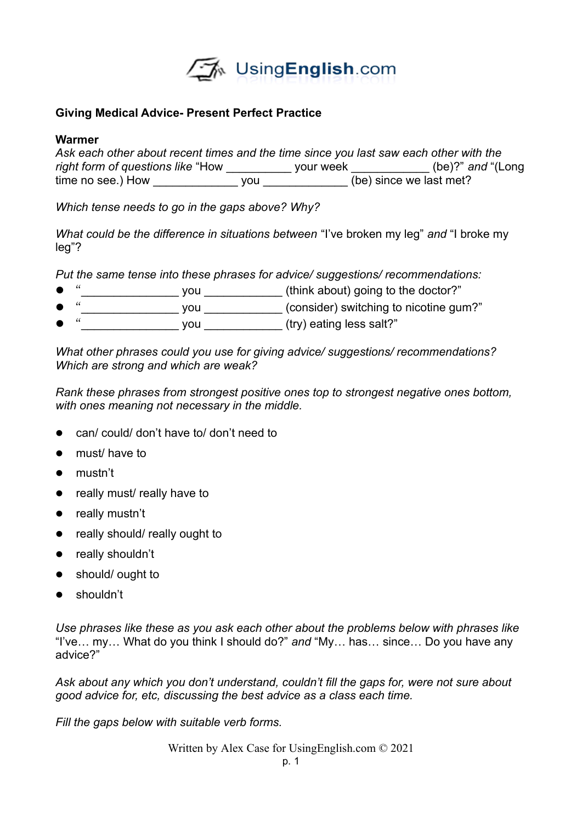

## **Giving Medical Advice- Present Perfect Practice**

## **Warmer**

| Ask each other about recent times and the time since you last saw each other with the |     |           |                         |
|---------------------------------------------------------------------------------------|-----|-----------|-------------------------|
| right form of questions like "How"                                                    |     | vour week | $(be)$ ?" and "(Long    |
| time no see.) How                                                                     | vou |           | (be) since we last met? |

*Which tense needs to go in the gaps above? Why?*

*What could be the difference in situations between* "I've broken my leg" *and* "I broke my leg"?

*Put the same tense into these phrases for advice/ suggestions/ recommendations:*

- $\bullet$  " $\underbrace{\hspace{1cm}}$  you  $\underbrace{\hspace{1cm}}$  (think about) going to the doctor?"
- "
you
you
(consider) switching to nicotine gum?"
- "<br>"
you you (try) eating less salt?"

*What other phrases could you use for giving advice/ suggestions/ recommendations? Which are strong and which are weak?*

*Rank these phrases from strongest positive ones top to strongest negative ones bottom, with ones meaning not necessary in the middle.*

- can/ could/ don't have to/ don't need to
- must/ have to
- mustn't
- really must/ really have to
- really mustn't
- really should/ really ought to
- really shouldn't
- should/ ought to
- shouldn't

*Use phrases like these as you ask each other about the problems below with phrases like* "I've… my… What do you think I should do?" *and* "My… has… since… Do you have any advice?"

*Ask about any which you don't understand, couldn't fill the gaps for, were not sure about good advice for, etc, discussing the best advice as a class each time.*

*Fill the gaps below with suitable verb forms.*

Written by Alex Case for UsingEnglish.com © 2021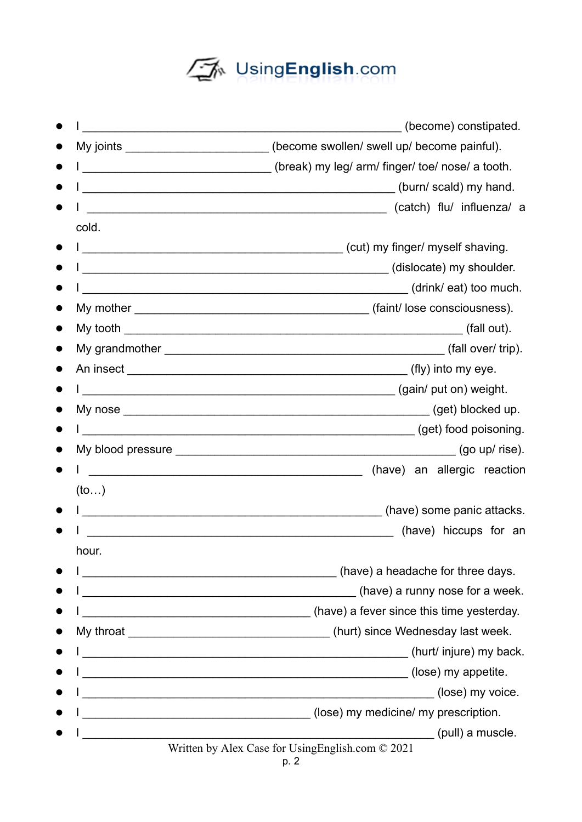## UsingEnglish.com

|                                                                                                                        | (become) constipated.                                                                      |
|------------------------------------------------------------------------------------------------------------------------|--------------------------------------------------------------------------------------------|
|                                                                                                                        | My joints _________________________(become swollen/ swell up/ become painful).             |
| <u> 1980 - Johann Barbara, martxa alemaniar a</u>                                                                      | (break) my leg/ arm/ finger/ toe/ nose/ a tooth.                                           |
| <u> 1980 - Jan James James Barnett, fransk politik (d. 1980)</u>                                                       | (burn/scald) my hand.                                                                      |
|                                                                                                                        | (catch) flu/ influenza/ a                                                                  |
| cold.                                                                                                                  |                                                                                            |
|                                                                                                                        |                                                                                            |
|                                                                                                                        |                                                                                            |
|                                                                                                                        | (drink/eat) too much.                                                                      |
|                                                                                                                        |                                                                                            |
|                                                                                                                        |                                                                                            |
|                                                                                                                        |                                                                                            |
|                                                                                                                        |                                                                                            |
|                                                                                                                        |                                                                                            |
|                                                                                                                        |                                                                                            |
|                                                                                                                        | (get) food poisoning.                                                                      |
|                                                                                                                        |                                                                                            |
|                                                                                                                        | (have) an allergic reaction<br><u> 1980 - Andrea Andrew Maria (h. 1980).</u>               |
| (to)                                                                                                                   |                                                                                            |
| <u> 1980 - Johann Stein, fransk kampens og det forskellige og det forskellige og det forskellige og det forskellig</u> | (have) some panic attacks.                                                                 |
|                                                                                                                        | (have) hiccups for an                                                                      |
| hour.                                                                                                                  |                                                                                            |
|                                                                                                                        | (have) a headache for three days.                                                          |
| <u> 1980 - Johann John Stone, mars and de British and de British and de British and de British and de British an</u>   | (have) a runny nose for a week.                                                            |
|                                                                                                                        | (have) a fever since this time yesterday.                                                  |
|                                                                                                                        |                                                                                            |
|                                                                                                                        | (hurt/ injure) my back.                                                                    |
|                                                                                                                        | (lose) my appetite.<br><u> 1980 - Johann John Stone, mars and deutscher Stone († 1980)</u> |
|                                                                                                                        | (lose) my voice.<br><u> 1989 - Johann Stoff, amerikansk politiker (d. 1989)</u>            |
|                                                                                                                        | (lose) my medicine/ my prescription.                                                       |
|                                                                                                                        | (pull) a muscle.                                                                           |
|                                                                                                                        | Written by Alex Case for Using English.com © 2021                                          |